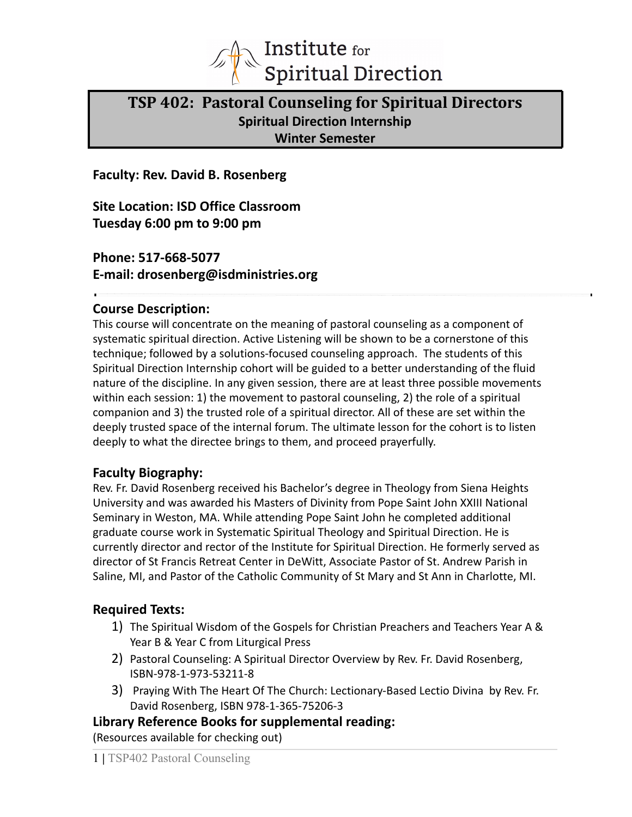

# **TSP 402: Pastoral Counseling for Spiritual Directors Spiritual Direction Internship Winter Semester**

**Faculty: Rev. David B. Rosenberg**

**Site Location: ISD Office Classroom Tuesday 6:00 pm to 9:00 pm**

**Phone: 517-668-5077 E-mail: drosenberg@isdministries.org**

## **Course Description:**

This course will concentrate on the meaning of pastoral counseling as a component of systematic spiritual direction. Active Listening will be shown to be a cornerstone of this technique; followed by a solutions-focused counseling approach. The students of this Spiritual Direction Internship cohort will be guided to a better understanding of the fluid nature of the discipline. In any given session, there are at least three possible movements within each session: 1) the movement to pastoral counseling, 2) the role of a spiritual companion and 3) the trusted role of a spiritual director. All of these are set within the deeply trusted space of the internal forum. The ultimate lesson for the cohort is to listen deeply to what the directee brings to them, and proceed prayerfully.

# **Faculty Biography:**

Rev. Fr. David Rosenberg received his Bachelor's degree in Theology from Siena Heights University and was awarded his Masters of Divinity from Pope Saint John XXIII National Seminary in Weston, MA. While attending Pope Saint John he completed additional graduate course work in Systematic Spiritual Theology and Spiritual Direction. He is currently director and rector of the Institute for Spiritual Direction. He formerly served as director of St Francis Retreat Center in DeWitt, Associate Pastor of St. Andrew Parish in Saline, MI, and Pastor of the Catholic Community of St Mary and St Ann in Charlotte, MI.

# **Required Texts:**

- 1) The Spiritual Wisdom of the Gospels for Christian Preachers and Teachers Year A & Year B & Year C from Liturgical Press
- 2) Pastoral Counseling: A Spiritual Director Overview by Rev. Fr. David Rosenberg, ISBN-978-1-973-53211-8
- 3) Praying With The Heart Of The Church: Lectionary-Based Lectio Divina by Rev. Fr. David Rosenberg, ISBN 978-1-365-75206-3

**Library Reference Books for supplemental reading:** (Resources available for checking out)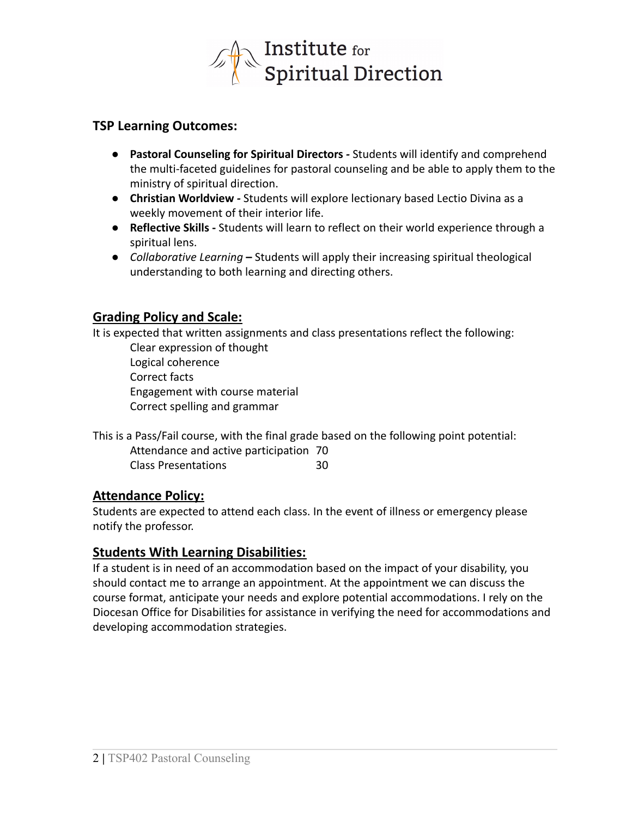

## **TSP Learning Outcomes:**

- **● Pastoral Counseling for Spiritual Directors** *-* Students will identify and comprehend the multi-faceted guidelines for pastoral counseling and be able to apply them to the ministry of spiritual direction.
- **● Christian Worldview** *-* Students will explore lectionary based Lectio Divina as a weekly movement of their interior life.
- **● Reflective Skills -** Students will learn to reflect on their world experience through a spiritual lens.
- **●** *Collaborative Learning* **–** Students will apply their increasing spiritual theological understanding to both learning and directing others.

# **Grading Policy and Scale:**

It is expected that written assignments and class presentations reflect the following:

Clear expression of thought Logical coherence Correct facts Engagement with course material Correct spelling and grammar

This is a Pass/Fail course, with the final grade based on the following point potential: Attendance and active participation 70 Class Presentations 30

## **Attendance Policy:**

Students are expected to attend each class. In the event of illness or emergency please notify the professor.

## **Students With Learning Disabilities:**

If a student is in need of an accommodation based on the impact of your disability, you should contact me to arrange an appointment. At the appointment we can discuss the course format, anticipate your needs and explore potential accommodations. I rely on the Diocesan Office for Disabilities for assistance in verifying the need for accommodations and developing accommodation strategies.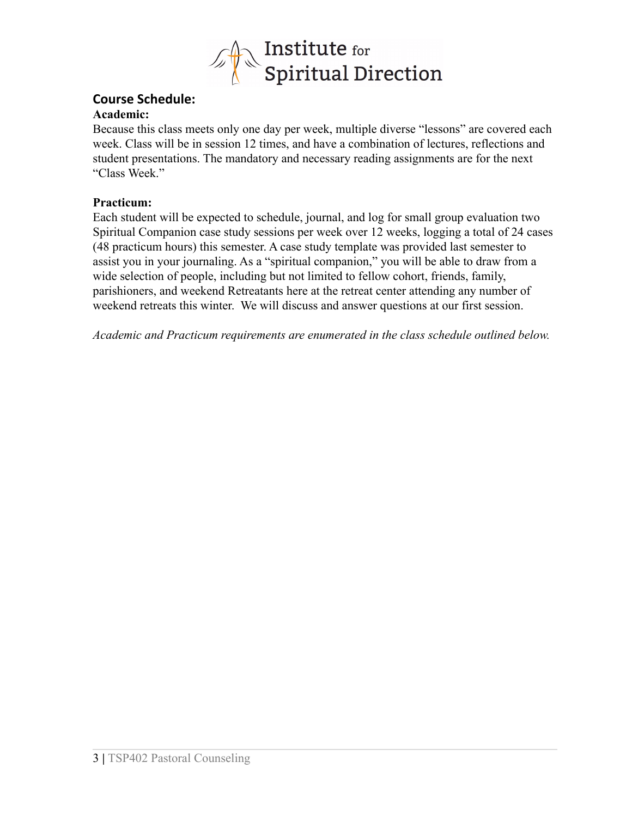

# **Course Schedule:**

## **Academic:**

Because this class meets only one day per week, multiple diverse "lessons" are covered each week. Class will be in session 12 times, and have a combination of lectures, reflections and student presentations. The mandatory and necessary reading assignments are for the next "Class Week."

## **Practicum:**

Each student will be expected to schedule, journal, and log for small group evaluation two Spiritual Companion case study sessions per week over 12 weeks, logging a total of 24 cases (48 practicum hours) this semester. A case study template was provided last semester to assist you in your journaling. As a "spiritual companion," you will be able to draw from a wide selection of people, including but not limited to fellow cohort, friends, family, parishioners, and weekend Retreatants here at the retreat center attending any number of weekend retreats this winter. We will discuss and answer questions at our first session.

*Academic and Practicum requirements are enumerated in the class schedule outlined below.*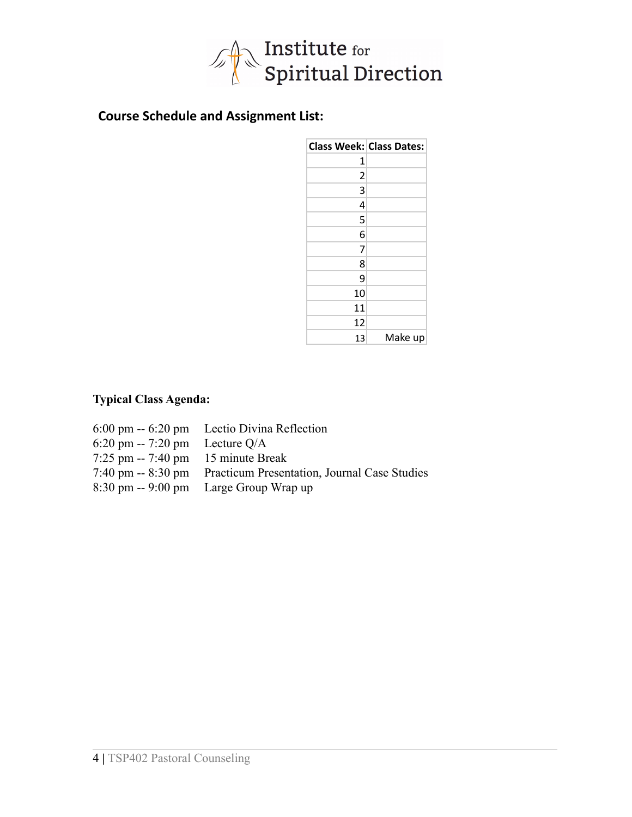

# **Course Schedule and Assignment List:**

|                | <b>Class Week: Class Dates:</b> |
|----------------|---------------------------------|
| 1              |                                 |
| $\overline{2}$ |                                 |
| 3              |                                 |
| 4              |                                 |
| 5              |                                 |
| 6              |                                 |
| 7              |                                 |
| 8              |                                 |
| ٩              |                                 |
| 10             |                                 |
| 11             |                                 |
| 12             |                                 |
| 13             | Make up                         |

## **Typical Class Agenda:**

|                                                 | 6:00 pm -- 6:20 pm Lectio Divina Reflection                     |
|-------------------------------------------------|-----------------------------------------------------------------|
| $6:20 \text{ pm} - 7:20 \text{ pm}$ Lecture Q/A |                                                                 |
| $7:25$ pm $-7:40$ pm 15 minute Break            |                                                                 |
|                                                 | 7:40 pm -- 8:30 pm Practicum Presentation, Journal Case Studies |
|                                                 | 8:30 pm -- 9:00 pm Large Group Wrap up                          |
|                                                 |                                                                 |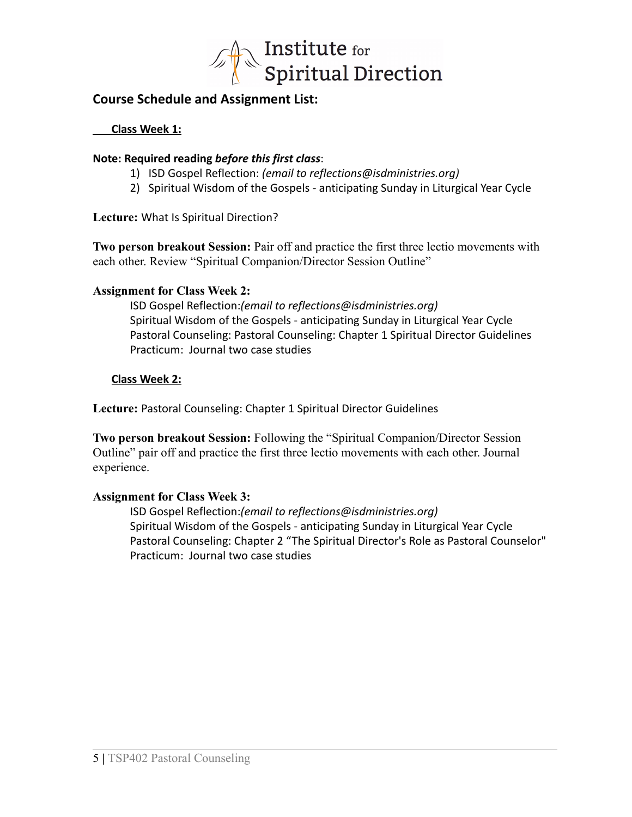

## **Course Schedule and Assignment List:**

**Class Week 1:**

#### **Note: Required reading** *before this first class*:

- 1) ISD Gospel Reflection: *(email to reflections@isdministries.org)*
- 2) Spiritual Wisdom of the Gospels anticipating Sunday in Liturgical Year Cycle

**Lecture:** What Is Spiritual Direction?

**Two person breakout Session:** Pair off and practice the first three lectio movements with each other. Review "Spiritual Companion/Director Session Outline"

## **Assignment for Class Week 2:**

ISD Gospel Reflection:*(email to reflections@isdministries.org)* Spiritual Wisdom of the Gospels - anticipating Sunday in Liturgical Year Cycle Pastoral Counseling: Pastoral Counseling: Chapter 1 Spiritual Director Guidelines Practicum: Journal two case studies

## **Class Week 2:**

**Lecture:** Pastoral Counseling: Chapter 1 Spiritual Director Guidelines

**Two person breakout Session:** Following the "Spiritual Companion/Director Session Outline" pair off and practice the first three lectio movements with each other. Journal experience.

## **Assignment for Class Week 3:**

ISD Gospel Reflection:*(email to reflections@isdministries.org)* Spiritual Wisdom of the Gospels - anticipating Sunday in Liturgical Year Cycle Pastoral Counseling: Chapter 2 "The Spiritual Director's Role as Pastoral Counselor" Practicum: Journal two case studies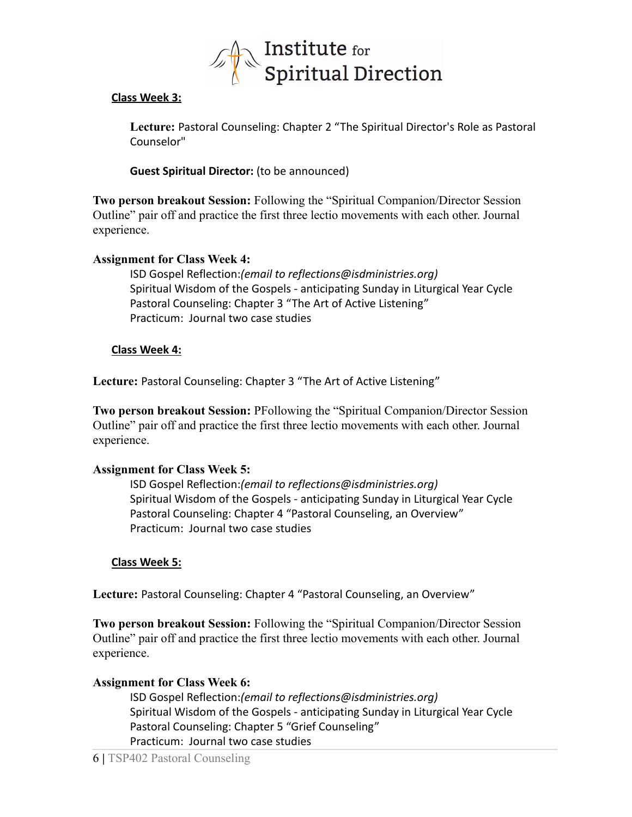

#### **Class Week 3:**

**Lecture:** Pastoral Counseling: Chapter 2 "The Spiritual Director's Role as Pastoral Counselor"

**Guest Spiritual Director:** (to be announced)

**Two person breakout Session:** Following the "Spiritual Companion/Director Session Outline" pair off and practice the first three lectio movements with each other. Journal experience.

## **Assignment for Class Week 4:**

ISD Gospel Reflection:*(email to reflections@isdministries.org)* Spiritual Wisdom of the Gospels - anticipating Sunday in Liturgical Year Cycle Pastoral Counseling: Chapter 3 "The Art of Active Listening" Practicum: Journal two case studies

## **Class Week 4:**

**Lecture:** Pastoral Counseling: Chapter 3 "The Art of Active Listening"

**Two person breakout Session:** PFollowing the "Spiritual Companion/Director Session Outline" pair off and practice the first three lectio movements with each other. Journal experience.

## **Assignment for Class Week 5:**

ISD Gospel Reflection:*(email to reflections@isdministries.org)* Spiritual Wisdom of the Gospels - anticipating Sunday in Liturgical Year Cycle Pastoral Counseling: Chapter 4 "Pastoral Counseling, an Overview" Practicum: Journal two case studies

#### **Class Week 5:**

**Lecture:** Pastoral Counseling: Chapter 4 "Pastoral Counseling, an Overview"

**Two person breakout Session:** Following the "Spiritual Companion/Director Session Outline" pair off and practice the first three lectio movements with each other. Journal experience.

## **Assignment for Class Week 6:**

ISD Gospel Reflection:*(email to reflections@isdministries.org)* Spiritual Wisdom of the Gospels - anticipating Sunday in Liturgical Year Cycle Pastoral Counseling: Chapter 5 "Grief Counseling" Practicum: Journal two case studies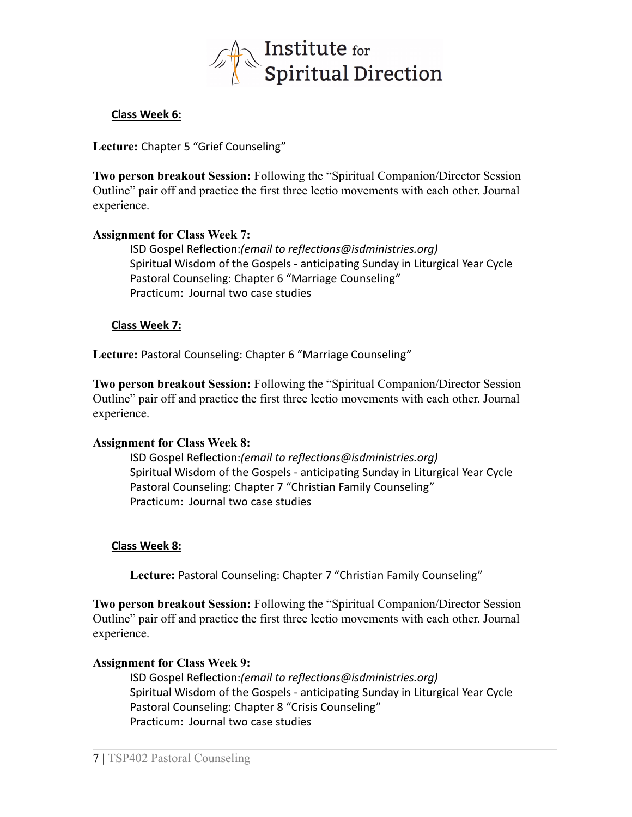

#### **Class Week 6:**

**Lecture:** Chapter 5 "Grief Counseling"

**Two person breakout Session:** Following the "Spiritual Companion/Director Session Outline" pair off and practice the first three lectio movements with each other. Journal experience.

#### **Assignment for Class Week 7:**

ISD Gospel Reflection:*(email to reflections@isdministries.org)* Spiritual Wisdom of the Gospels - anticipating Sunday in Liturgical Year Cycle Pastoral Counseling: Chapter 6 "Marriage Counseling" Practicum: Journal two case studies

#### **Class Week 7:**

**Lecture:** Pastoral Counseling: Chapter 6 "Marriage Counseling"

**Two person breakout Session:** Following the "Spiritual Companion/Director Session Outline" pair off and practice the first three lectio movements with each other. Journal experience.

#### **Assignment for Class Week 8:**

ISD Gospel Reflection:*(email to reflections@isdministries.org)* Spiritual Wisdom of the Gospels - anticipating Sunday in Liturgical Year Cycle Pastoral Counseling: Chapter 7 "Christian Family Counseling" Practicum: Journal two case studies

#### **Class Week 8:**

**Lecture:** Pastoral Counseling: Chapter 7 "Christian Family Counseling"

**Two person breakout Session:** Following the "Spiritual Companion/Director Session Outline" pair off and practice the first three lectio movements with each other. Journal experience.

#### **Assignment for Class Week 9:**

ISD Gospel Reflection:*(email to reflections@isdministries.org)* Spiritual Wisdom of the Gospels - anticipating Sunday in Liturgical Year Cycle Pastoral Counseling: Chapter 8 "Crisis Counseling" Practicum: Journal two case studies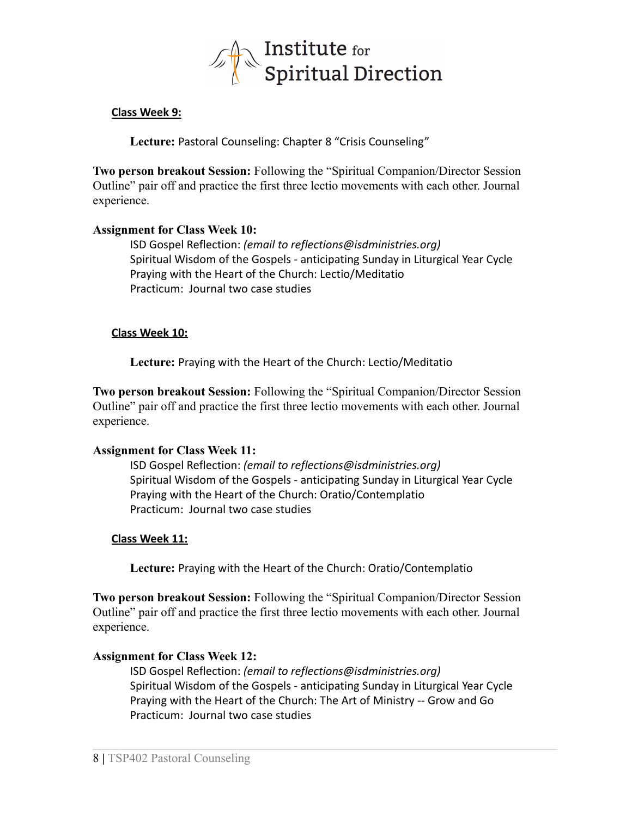

#### **Class Week 9:**

**Lecture:** Pastoral Counseling: Chapter 8 "Crisis Counseling"

**Two person breakout Session:** Following the "Spiritual Companion/Director Session Outline" pair off and practice the first three lectio movements with each other. Journal experience.

#### **Assignment for Class Week 10:**

ISD Gospel Reflection: *(email to reflections@isdministries.org)* Spiritual Wisdom of the Gospels - anticipating Sunday in Liturgical Year Cycle Praying with the Heart of the Church: Lectio/Meditatio Practicum: Journal two case studies

#### **Class Week 10:**

**Lecture:** Praying with the Heart of the Church: Lectio/Meditatio

**Two person breakout Session:** Following the "Spiritual Companion/Director Session Outline" pair off and practice the first three lectio movements with each other. Journal experience.

#### **Assignment for Class Week 11:**

ISD Gospel Reflection: *(email to reflections@isdministries.org)* Spiritual Wisdom of the Gospels - anticipating Sunday in Liturgical Year Cycle Praying with the Heart of the Church: Oratio/Contemplatio Practicum: Journal two case studies

## **Class Week 11:**

**Lecture:** Praying with the Heart of the Church: Oratio/Contemplatio

**Two person breakout Session:** Following the "Spiritual Companion/Director Session Outline" pair off and practice the first three lectio movements with each other. Journal experience.

## **Assignment for Class Week 12:**

ISD Gospel Reflection: *(email to reflections@isdministries.org)* Spiritual Wisdom of the Gospels - anticipating Sunday in Liturgical Year Cycle Praying with the Heart of the Church: The Art of Ministry -- Grow and Go Practicum: Journal two case studies